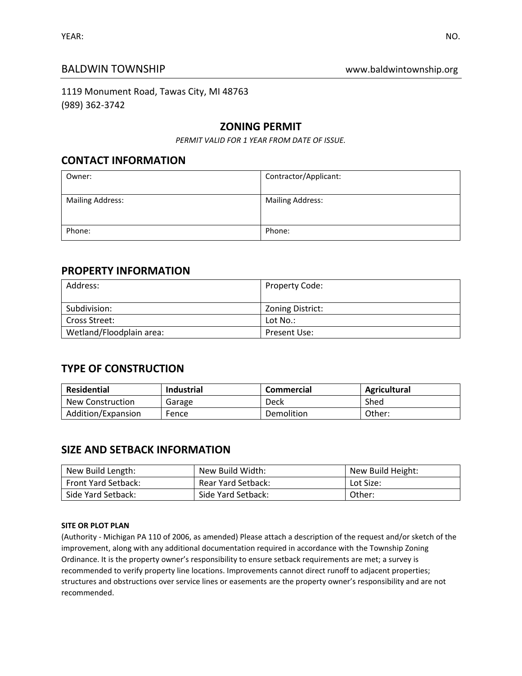## BALDWIN TOWNSHIP **BALDWIN TOWNSHIP WALLOWING WAS**

1119 Monument Road, Tawas City, MI 48763 (989) 362-3742

## **ZONING PERMIT**

*PERMIT VALID FOR 1 YEAR FROM DATE OF ISSUE.*

## **CONTACT INFORMATION**

| Owner:                  | Contractor/Applicant:   |
|-------------------------|-------------------------|
| <b>Mailing Address:</b> | <b>Mailing Address:</b> |
| Phone:                  | Phone:                  |

## **PROPERTY INFORMATION**

| Address:                 | <b>Property Code:</b> |
|--------------------------|-----------------------|
| Subdivision:             | Zoning District:      |
| Cross Street:            | Lot No.:              |
| Wetland/Floodplain area: | Present Use:          |

# **TYPE OF CONSTRUCTION**

| Residential        | <b>Industrial</b> | <b>Commercial</b> | Agricultural |
|--------------------|-------------------|-------------------|--------------|
| New Construction   | Garage            | Deck              | Shed         |
| Addition/Expansion | Fence             | Demolition        | Other:       |

# **SIZE AND SETBACK INFORMATION**

| New Build Length:          | New Build Width:   | New Build Height: |
|----------------------------|--------------------|-------------------|
| <b>Front Yard Setback:</b> | Rear Yard Setback: | Lot Size:         |
| Side Yard Setback:         | Side Yard Setback: | Other:            |

#### **SITE OR PLOT PLAN**

(Authority - Michigan PA 110 of 2006, as amended) Please attach a description of the request and/or sketch of the improvement, along with any additional documentation required in accordance with the Township Zoning Ordinance. It is the property owner's responsibility to ensure setback requirements are met; a survey is recommended to verify property line locations. Improvements cannot direct runoff to adjacent properties; structures and obstructions over service lines or easements are the property owner's responsibility and are not recommended.